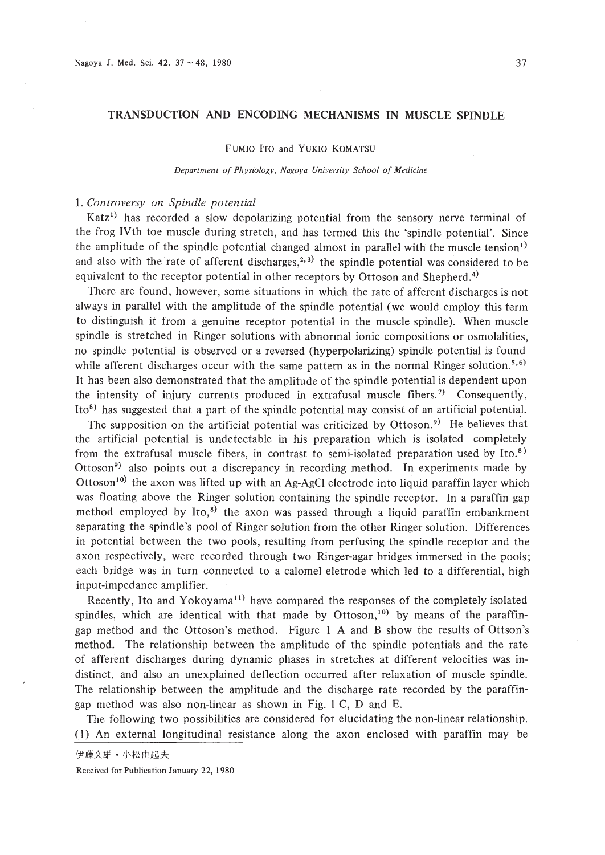# **TRANSDUCTION AND ENCODING MECHANISMS IN MUSCLE SPINDLE**

# FUMIO ITO and YUKIO KOMATSU

*Department of Physiology. Nagoya University School of Medicine*

# 1. *Controversy on Spindle potential*

Katz<sup>1</sup> has recorded a slow depolarizing potential from the sensory nerve terminal of the frog IVth toe muscle during stretch, and has termed this the 'spindle potential'. Since the amplitude of the spindle potential changed almost in parallel with the muscle tension<sup>1)</sup> and also with the rate of afferent discharges,<sup>2,3)</sup> the spindle potential was considered to be equivalent to the receptor potential in other receptors by Ottoson and Shepherd.<sup>4)</sup>

There are found, however, some situations in which the rate of afferent discharges is not always in parallel with the amplitude of the spindle potential (we would employ this term to distinguish it from a genuine receptor potential in the muscle spindle). When muscle spindle is stretched in Ringer solutions with abnormal ionic compositions or osmolalities, no spindle potential is observed or a reversed (hyperpolarizing) spindle potential is found while afferent discharges occur with the same pattern as in the normal Ringer solution.<sup>5,6)</sup> It has been also demonstrated that the amplitude of the spindle potential is dependent upon the intensity of injury currents produced in extrafusal muscle fibers.<sup>7)</sup> Consequently, Ito<sup>8</sup> has suggested that a part of the spindle potential may consist of an artificial potential.

The supposition on the artificial potential was criticized by Ottoson.<sup>9)</sup> He believes that the artificial potential is undetectable in his preparation which is isolated completely from the extrafusal muscle fibers, in contrast to semi-isolated preparation used by Ito.<sup>8)</sup> Ottoson9 ) also points *out* a discrepancy in recording method. **In** experiments made by Ottoson<sup>10)</sup> the axon was lifted up with an Ag-AgCl electrode into liquid paraffin layer which was floating above the Ringer solution containing the spindle receptor. **In** a paraffin gap method employed by Ito, $^{8}$ ) the axon was passed through a liquid paraffin embankment separating the spindle's pool of Ringer solution from the other Ringer solution. Differences in potential between the two pools, resulting from perfusing the spindle receptor and the axon respectively, were recorded through two Ringer-agar bridges immersed in the pools; each bridge was in turn connected to a calomel eletrode which led to a differential, high input-impedance amplifier.

Recently, Ito and Yokoyama<sup>11)</sup> have compared the responses of the completely isolated spindles, which are identical with that made by Ottoson, $10$  by means of the paraffingap method and the Ottoson's method. Figure I A and B show the results of Ottson's method. The relationship between the amplitude of the spindle potentials and the rate of afferent discharges during dynamic phases in stretches at different velocities was indistinct, and also an unexplained deflection occurred after relaxation of muscle spindle. The relationship between the amplitude and the discharge rate recorded by the paraffingap method was also non-linear as shown in Fig. I C, D and E.

The following two possibilities are considered for elucidating the non-linear relationship. (I) An external longitudinal resistance along the axon enclosed with paraffin may be

Received for Publication January 22, 1980

伊藤文雄 · 小松由起夫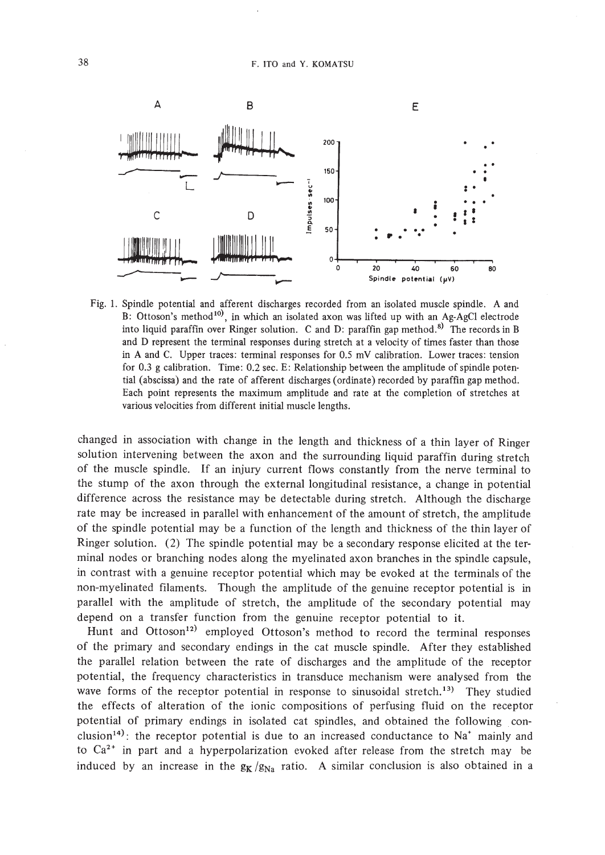

Fig. 1. Spindle potential and afferent discharges recorded from an isolated muscle spindle. A and B: Ottoson's method<sup>10)</sup>, in which an isolated axon was lifted up with an Ag-AgCl electrode into liquid paraffin over Ringer solution. C and D: paraffin gap method.<sup>8)</sup> The records in B and D represent the terminal responses during stretch at a velocity of times faster than those in A and C. Upper traces: tenninal responses for 0.5 mY calibration. Lower traces: tension for 0.3 g calibration. Time: 0.2 sec. E: Relationship between the amplitude of spindle potential (abscissa) and the rate of afferent discharges (ordinate) recorded by paraffin gap method. Each point represents the maximum amplitude and rate at the completion of stretches at various velocities from different initial muscle lengths.

changed in association with change in the length and thickness of a thin layer of Ringer solution intervening between the axon and the surrounding liquid paraffin during stretch of the muscle spindle. If an injury current flows constantly from the nerve terminal to the stump of the axon through the external longitudinal resistance, a change in potential difference across the resistance may be detectable during stretch. Although the discharge rate may be increased in parallel with enhancement of the amount of stretch, the amplitude of the spindle potential may be a function of the length and thickness of the thin layer of Ringer solution. (2) The spindle potential may be a secondary response elicited at the terminal nodes or branching nodes along the myelinated axon branches in the spindle capsule, in contrast with a genuine receptor potential which may be evoked at the terminals of the non-myelinated filaments. Though the amplitude of the genuine receptor potential is in parallel with the amplitude of stretch, the amplitude of the secondary potential may depend on a transfer function from the genuine receptor potential to it.

Hunt and Ottoson<sup>12</sup> employed Ottoson's method to record the terminal responses of the primary and secondary endings in the cat muscle spindle. After they established the parallel relation between the rate of discharges and the amplitude of the receptor potential, the frequency characteristics in transduce mechanism were analysed from the wave forms of the receptor potential in response to sinusoidal stretch.<sup>13</sup>) They studied the effects of alteration of the ionic compositions of perfusing fluid on the receptor potential of primary endings in isolated cat spindles, and obtained the following conclusion<sup>14)</sup>: the receptor potential is due to an increased conductance to  $Na<sup>+</sup>$  mainly and to  $Ca^{2+}$  in part and a hyperpolarization evoked after release from the stretch may be induced by an increase in the  $g_K/g_{Na}$  ratio. A similar conclusion is also obtained in a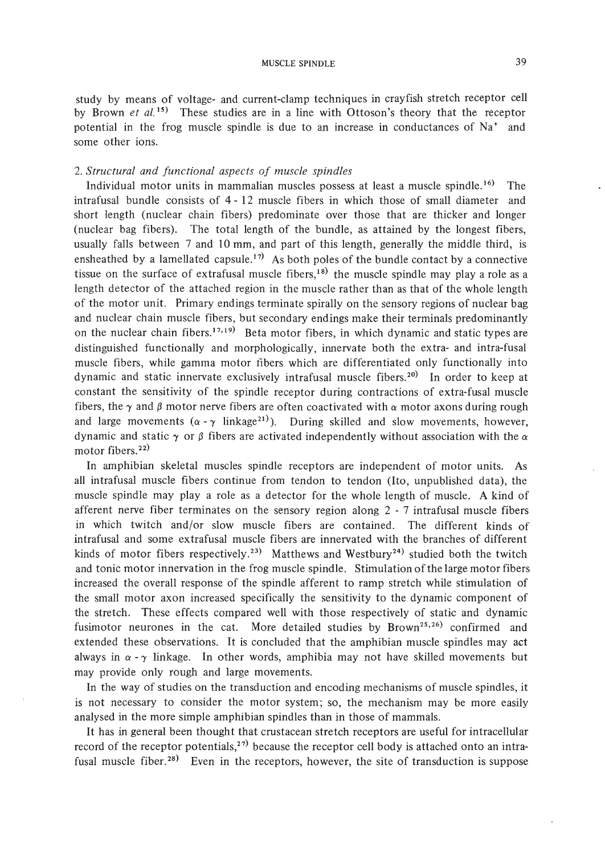study by means of voltage- and current-clamp techniques in crayfish stretch receptor cell by Brown *et al. <sup>15</sup> )* These studies are in a line with Ottoson's theory that the receptor potential in the frog muscle spindle is due to an increase in conductances of  $Na<sup>+</sup>$  and some other ions.

# *2. Structural and functional aspects of muscle spindles*

Individual motor units in mammalian muscles possess at least a muscle spindle. 16) The intrafusal bundle consists of 4 - 12 muscle fibers in which those of small diameter and short length (nuclear chain fibers) predominate over those that are thicker and longer (nuclear bag fibers). The total length of the bundle, as attained by the longest fibers, usually falls between 7 and 10 mm, and part of this length, generally the middle third, is ensheathed by a lamellated capsule.<sup>17)</sup> As both poles of the bundle contact by a connective tissue on the surface of extrafusal muscle fibers,<sup>18)</sup> the muscle spindle may play a role as a length detector of the attached region in the muscle rather than as that of the whole length of the motor unit. Primary endings terminate spirally on the sensory regions of nuclear bag and nuclear chain muscle fibers, but secondary endings make their terminals predominantly on the nuclear chain fibers.<sup>17,19</sup> Beta motor fibers, in which dynamic and static types are distinguished functionally and morphologically, innervate both the extra- and intra-fusal muscle fibers, while gamma motor fibers which are differentiated only functionally into dynamic and static innervate exclusively intrafusal muscle fibers.<sup>20)</sup> In order to keep at constant the sensitivity of the spindle receptor during contractions of extra-fusal muscle fibers, the  $\gamma$  and  $\beta$  motor nerve fibers are often coactivated with  $\alpha$  motor axons during rough and large movements ( $\alpha$ - $\gamma$  linkage<sup>21</sup>). During skilled and slow movements, however, dynamic and static  $\gamma$  or  $\beta$  fibers are activated independently without association with the  $\alpha$ motor fibers.<sup>22)</sup>

In amphibian skeletal muscles spindle receptors are independent of motor units. As all intrafusal muscle fibers continue from tendon to tendon (Ito, unpublished data), the muscle spindle may play a role as a detector for the whole length of muscle. A kind of afferent nerve fiber terminates on the sensory region along 2 - 7 intrafusal muscle fibers in which twitch and/or slow muscle fibers are contained. The different kinds of intrafusal and some extrafusal muscle fibers are innervated with the branches of different kinds of motor fibers respectively.<sup>23</sup> Matthews and Westbury<sup>24</sup> studied both the twitch and tonic motor innervation in the frog muscle spindle. Stimulation of the large motor fibers increased the overall response of the spindle afferent to ramp stretch while stimulation of the small motor axon increased specifically the sensitivity to the dynamic component of the stretch. These effects compared well with those respectively of static and dynamic fusimotor neurones in the cat. More detailed studies by Brown<sup>25,26)</sup> confirmed and extended these observations. It is concluded that the amphibian muscle spindles may act always in  $\alpha$  -  $\gamma$  linkage. In other words, amphibia may not have skilled movements but may provide only rough and large movements.

In the way of studies on the transduction and encoding mechanisms of muscle spindles, it is not necessary to consider the motor system; so, the mechanism may be more easily analysed in the more simple amphibian spindles than in those of mammals.

It has in general been thought that crustacean stretch receptors are useful for intracellular record of the receptor potentials,<sup>27)</sup> because the receptor cell body is attached onto an intrafusal muscle fiber.<sup>28)</sup> Even in the receptors, however, the site of transduction is suppose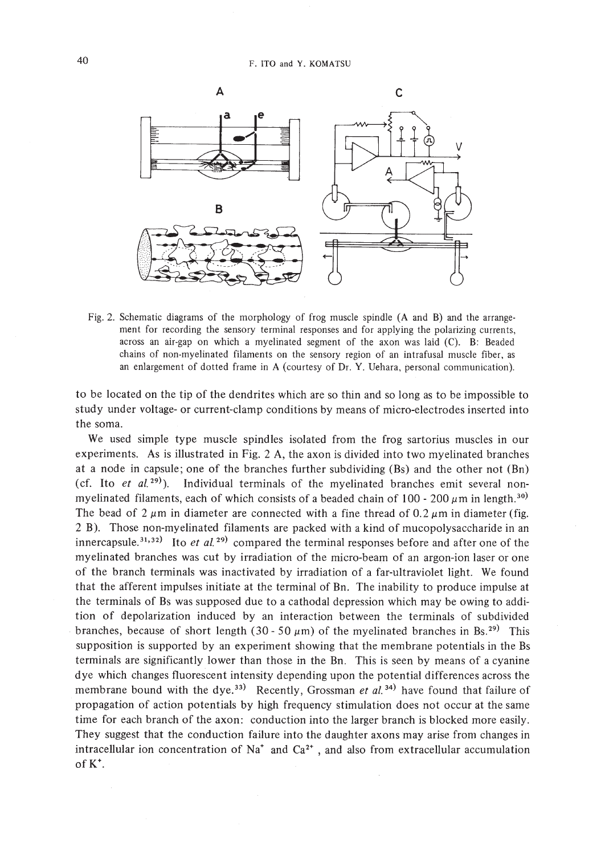

Fig. 2. Schematic diagrams of the morphology of frog muscle spindle (A and B) and the arrangement for recording the sensory terminal responses and for applying the polarizing currents, across an air-gap on which a myelinated segment of the axon was laid (C). B: Beaded chains of non-myelinated filaments on the sensory region of an intrafusal muscle fiber, as an enlargement of dotted frame in A (courtesy of Dr. Y. Uehara, personal communication).

to be located on the tip of the dendrites which are so thin and so long as to be impossible to study under voltage- or current-clamp conditions by means of micro-electrodes inserted into the soma.

We used simple type muscle spindles isolated from the frog sartorius muscles in our experiments. As is illustrated in Fig. 2 A, the axon is divided into two myelinated branches at a node in capsule; one of the branches further subdividing (Bs) and the other not (Bn) (cf. Ito *et al.*  $29)$ ). Individual terminals of the myelinated branches emit several nonmyelinated filaments, each of which consists of a beaded chain of 100 - 200  $\mu$ m in length.<sup>30)</sup> The bead of  $2 \mu m$  in diameter are connected with a fine thread of 0.2  $\mu$ m in diameter (fig. 2 B). Those non-myelinated filaments are packed with a kind of mucopolysaccharide in an innercapsule.<sup>31,32)</sup> Ito *et al.* <sup>29</sup> compared the terminal responses before and after one of the myelinated branches was cut by irradiation of the micro-beam of an argon-ion laser or one of the branch terminals was inactivated by irradiation of a far-ultraviolet light. We found that the afferent impulses initiate at the terminal of Bn. The inability to produce impulse at the terminals of Bs was supposed due to a cathodal depression which may be owing to addition of depolarization induced by an interaction between the terminals of subdivided branches, because of short length (30 - 50  $\mu$ m) of the myelinated branches in Bs.<sup>29)</sup> This supposition is supported by an experiment showing that the membrane potentials in the Bs terminals are significantly lower than those in the Bn. This is seen by means of a cyanine dye which changes fluorescent intensity depending upon the potential differences across the membrane bound with the dye.<sup>33)</sup> Recently, Grossman *et al.*<sup>34)</sup> have found that failure of propagation of action potentials by high frequency stimulation does not occur at the same time for each branch of the axon: conduction into the larger branch is blocked more easily. They suggest that the conduction failure into the daughter axons may arise from changes in intracellular ion concentration of Na<sup>+</sup> and Ca<sup>2+</sup>, and also from extracellular accumulation of  $K^*$ .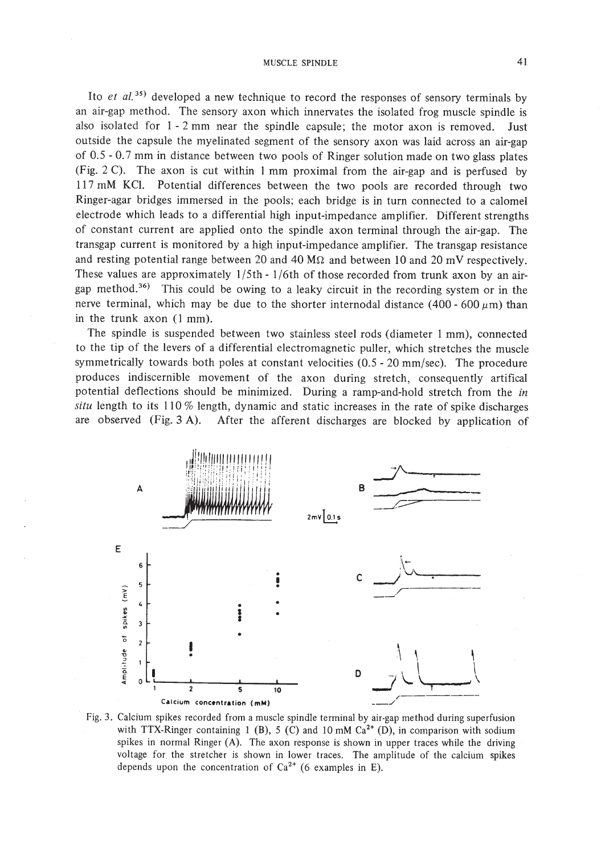# MUSCLE SPINDLE 41

Ito *et at.* 35) developed a new technique to record the responses of sensory terminals by an air-gap method. The sensory axon which innervates the isolated frog muscle spindle is also isolated for  $1 - 2$  mm near the spindle capsule; the motor axon is removed. Just outside the capsule the myelinated segment of the sensory axon was laid across an air-gap of 0.5 - 0.7 mm in distance between two pools of Ringer solution made on two glass plates (Fig. 2 C). The axon is cut within I mm proximal from the air-gap and is perfused by 117 mM KCI. Potential differences between the two pools are recorded through two Ringer-agar bridges immersed in the pools; each bridge is in turn connected to a calomel electrode which leads to a differential high input-impedance amplifier. Different strengths of constant current are applied onto the spindle axon terminal through the air-gap. The transgap current is monitored by a high input-impedance amplifier. The transgap resistance and resting potential range between 20 and 40  $\text{M}\Omega$  and between 10 and 20 mV respectively. These values are approximately  $1/5$ th -  $1/6$ th of those recorded from trunk axon by an airgap method.<sup>36)</sup> This could be owing to a leaky circuit in the recording system or in the nerve terminal, which may be due to the shorter internodal distance (400 - 600  $\mu$ m) than in the trunk axon (I mm).

The spindle is suspended between two stainless steel rods (diameter 1 mm), connected to the tip of the levers of a differential electromagnetic puller, which stretches the muscle symmetrically towards both poles at constant velocities (0.5 - 20 mm/sec). The procedure produces indiscernible movement of the axon during stretch, consequently artifical potential deflections should be minimized. During a ramp-and-hold stretch from the in *situ* length to its 110% length, dynamic and static increases in the rate of spike discharges are observed (Fig. 3 A). After the afferent discharges are blocked by application of



Fig. 3. Calcium spikes recorded from a muscle spindle terminal by air-gap method during superfusion with TTX-Ringer containing 1 (B), 5 (C) and 10 mM  $Ca<sup>2+</sup>$  (D), in comparison with sodium spikes in normal Ringer (A). The axon response is shown in upper traces while the driving voltage for the stretcher is shown in lower traces. The amplitude of the calcium spikes depends upon the concentration of  $Ca^{2+}$  (6 examples in E).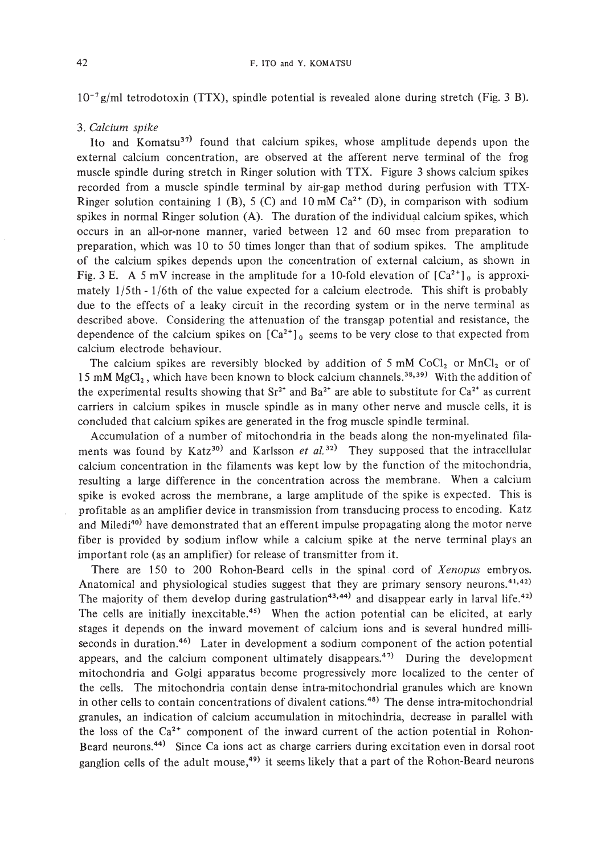*10- <sup>7</sup> glml* tetrodotoxin (TTX), spindle potential is revealed alone during stretch (Fig. 3 B).

# *3. Calcium spike*

Ito and Komatsu<sup>37)</sup> found that calcium spikes, whose amplitude depends upon the external calcium concentration, are observed at the afferent nerve terminal of the frog muscle spindle during stretch in Ringer solution with TTX. Figure 3 shows calcium spikes recorded from a muscle spindle terminal by air-gap method during perfusion with TTX-Ringer solution containing 1 (B), 5 (C) and 10 mM  $Ca<sup>2+</sup>$  (D), in comparison with sodium spikes in normal Ringer solution (A). The duration of the individual calcium spikes, which occurs in an all-or-none manner, varied between 12 and 60 msec from preparation to preparation, which was 10 to 50 times longer than that of sodium spikes. The amplitude of the calcium spikes depends upon the concentration of external calcium, as shown in Fig. 3 E. A 5 mV increase in the amplitude for a 10-fold elevation of  $\left[Ca^{2+}\right]_0$  is approximately 1*15th* - 1/6th of the value expected for a calcium electrode. This shift is probably due to the effects of a leaky circuit in the recording system or in the nerve terminal as described above. Considering the attenuation of the transgap potential and resistance, the dependence of the calcium spikes on  $\lbrack Ca^{2+} \rbrack_0$  seems to be very close to that expected from calcium electrode behaviour.

The calcium spikes are reversibly blocked by addition of 5 mM CoCl<sub>2</sub> or MnCl<sub>2</sub> or of 15 mM MgCl<sub>2</sub>, which have been known to block calcium channels.<sup>38,39)</sup> With the addition of the experimental results showing that  $Sr^{2+}$  and  $Ba^{2+}$  are able to substitute for  $Ca^{2+}$  as current carriers in calcium spikes in muscle spindle as in many other nerve and muscle cells, it is concluded that calcium spikes are generated in the frog muscle spindle terminal.

Accumulation of a number of mitochondria in the beads along the non-myelinated filaments was found by Katz<sup>30)</sup> and Karlsson *et al.*<sup>32)</sup> They supposed that the intracellular calcium concentration in the filaments was kept low by the function of the mitochondria, resulting a large difference in the concentration across the membrane. When a calcium spike is evoked across the membrane, a large amplitude of the spike is expected. This is profitable as an amplifier device in transmission from transducing process to encoding. Katz and Miledi<sup>40)</sup> have demonstrated that an efferent impulse propagating along the motor nerve fiber is provided by sodium inflow while a calcium spike at the nerve terminal plays an important role (as an amplifier) for release of transmitter from it.

There are 150 to 200 Rohon-Beard cells in the spinal cord of *Xenopus* embryos. Anatomical and physiological studies suggest that they are primary sensory neurons.<sup>41,42)</sup> The majority of them develop during gastrulation<sup>43,44)</sup> and disappear early in larval life.<sup>42)</sup> The cells are initially inexcitable.<sup>45)</sup> When the action potential can be elicited, at early stages it depends on the inward movement of calcium ions and is several hundred milliseconds in duration.<sup>46</sup>) Later in development a sodium component of the action potential appears, and the calcium component ultimately disappears.<sup>47)</sup> During the development mitochondria and Golgi apparatus become progressively more localized to the center of the cells. The mitochondria contain dense intra-mitochondrial granules which are known in other cells to contain concentrations of divalent cations.<sup>48)</sup> The dense intra-mitochondrial granules, an indication of calcium accumulation in mitochindria, decrease in parallel with the loss of the  $Ca^{2+}$  component of the inward current of the action potential in Rohon-Beard neurons.44) Since Ca ions act as charge carriers during excitation even in dorsal root ganglion cells of the adult mouse,<sup>49)</sup> it seems likely that a part of the Rohon-Beard neurons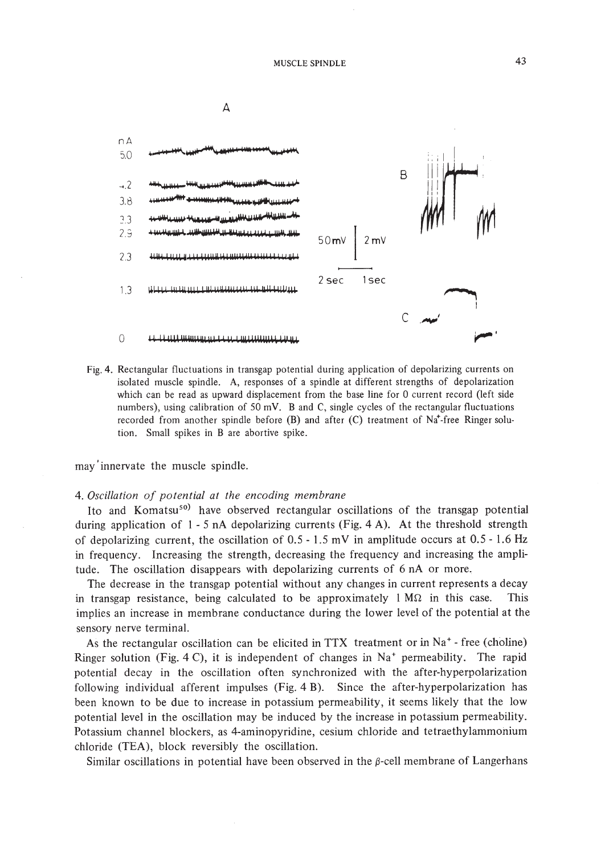

Fig. 4. Rectangular fluctuations in transgap potential during application of depolarizing currents on isolated muscle spindle. A, responses of a spindle at different strengths of depolarization which can be read as upward displacement from the base line for 0 current record (left side numbers), using calibration of 50 mV. B and C, single cycles of the rectangular fluctuations recorded from another spindle before  $(B)$  and after  $(C)$  treatment of Na<sup>+</sup>-free Ringer solution. Small spikes in B are abortive spike.

may' innervate the muscle spindle.

#### *4. Oscillation of potential at the encoding membrane*

Ito and Komatsu<sup>so)</sup> have observed rectangular oscillations of the transgap potential during application of  $1 - 5$  nA depolarizing currents (Fig. 4 A). At the threshold strength of depolarizing current, the oscillation of  $0.5 - 1.5$  mV in amplitude occurs at  $0.5 - 1.6$  Hz in frequency. Increasing the strength, decreasing the frequency and increasing the amplitude. The oscillation disappears with depolarizing currents of 6 nA or more.

The decrease in the transgap potential without any changes in current represents a decay in transgap resistance, being calculated to be approximately  $1 M\Omega$  in this case. This implies an increase in membrane conductance during the lower level of the potential at the sensory nerve terminal.

As the rectangular oscillation can be elicited in  $TTX$  treatment or in Na<sup>+</sup> - free (choline) Ringer solution (Fig. 4 C), it is independent of changes in  $Na<sup>+</sup>$  permeability. The rapid potential decay in the oscillation often synchronized with the after-hyperpolarization following individual afferent impulses (Fig. 4 B). Since the after-hyperpolarization has been known to be due to increase in potassium permeability, it seems likely that the low potential level in the oscillation may be induced by the increase in potassium permeability. Potassium channel blockers, as 4-aminopyridine, cesium chloride and tetraethylammonium chloride (TEA), block reversibly the oscillation.

Similar oscillations in potential have been observed in the  $\beta$ -cell membrane of Langerhans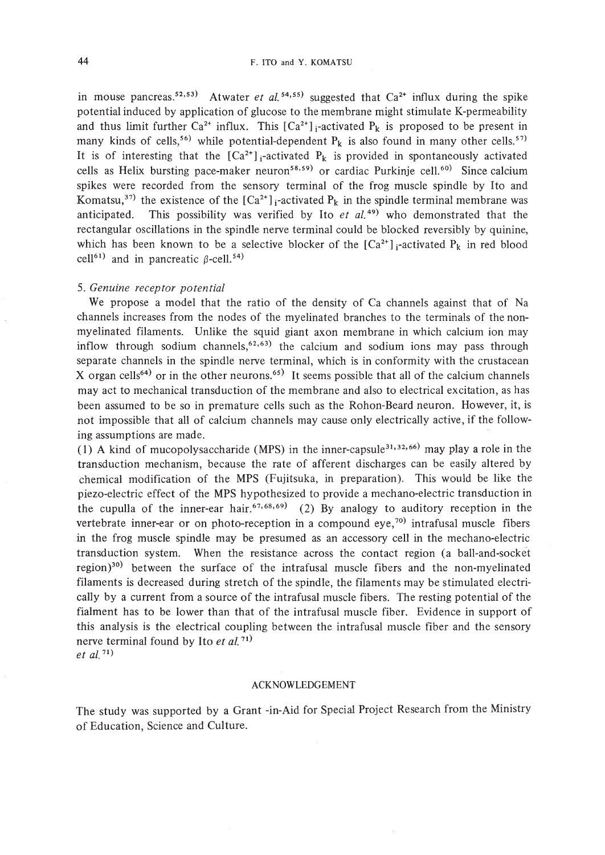in mouse pancreas.<sup>52,53)</sup> Atwater *et al.*<sup>54,55)</sup> suggested that  $Ca^{2+}$  influx during the spike potential induced by application of glucose to the membrane might stimulate K-permeability and thus limit further Ca<sup>2+</sup> influx. This  $[Ca^{2+}]_i$ -activated  $P_k$  is proposed to be present in many kinds of cells,<sup>56)</sup> while potential-dependent  $P_k$  is also found in many other cells.<sup>57)</sup> It is of interesting that the  $[Ca^{2+}]_i$ -activated  $P_k$  is provided in spontaneously activated cells as Helix bursting pace-maker neuron<sup>58,59)</sup> or cardiac Purkinje cell.<sup>60)</sup> Since calcium spikes were recorded from the sensory terminal of the frog muscle spindle by Ito and Komatsu,<sup>37)</sup> the existence of the  $[Ca^{2+}]_i$ -activated  $P_k$  in the spindle terminal membrane was anticipated. This possibility was verified by Ito  $et$   $al.^{49}$  who demonstrated that the rectangular oscillations in the spindle nerve terminal could be blocked reversibly by quinine, which has been known to be a selective blocker of the  $[Ca^{2+}]_i$ -activated  $P_k$  in red blood cell<sup>61)</sup> and in pancreatic  $\beta$ -cell.<sup>54)</sup>

# *5. Genuine receptor potential*

We propose a model that the ratio of the density of Ca channels against that of Na channels increases from the nodes of the myelinated branches to the terminals of the nonmyelinated filaments. Unlike the squid giant axon membrane in which calcium ion may inflow through sodium channels, $62,63$  the calcium and sodium ions may pass through separate channels in the spindle nerve terminal, which is in conformity with the crustacean X organ cells<sup>64)</sup> or in the other neurons.<sup>65)</sup> It seems possible that all of the calcium channels may act to mechanical transduction of the membrane and also to electrical excitation, as has been assumed to be so in premature cells such as the Rohon-Beard neuron. However, it, is not impossible that all of calcium channels may cause only electrically active, if the following assumptions are made.

(1) A kind of mucopolysaccharide (MPS) in the inner-capsule<sup>31,32,66</sup> may play a role in the transduction mechanism, because the rate of afferent discharges can be easily altered by chemical modification of the MPS (Fujitsuka, in preparation). This would be like the piezo-electric effect of the MPS hypothesized to provide a mechano-electric transduction in the cupulla of the inner-ear hair.<sup>67,68,69</sup> (2) By analogy to auditory reception in the vertebrate inner-ear or on photo-reception in a compound eye,<sup>70)</sup> intrafusal muscle fibers in the frog muscle spindle may be presumed as an accessory cell in the mechano-electric transduction system. When the resistance across the contact region (a ball-and-socket region)30) between the surface of the intrafusal muscle fibers and the non-myelinated filaments is decreased during stretch of the spindle, the filaments may be stimulated electrically by a current from a source of the intrafusal muscle fibers. The resting potential of the fialment has to be lower than that of the intrafusal muscle fiber. Evidence in support of this analysis is the electrical coupling between the intrafusal muscle fiber and the sensory nerve terminal found by Ito *et al.* 71) *et at. 71)*

#### ACKNOWLEDGEMENT

The study was supported by a Grant -in-Aid for Special Project Research from the Ministry of Education, Science and Culture.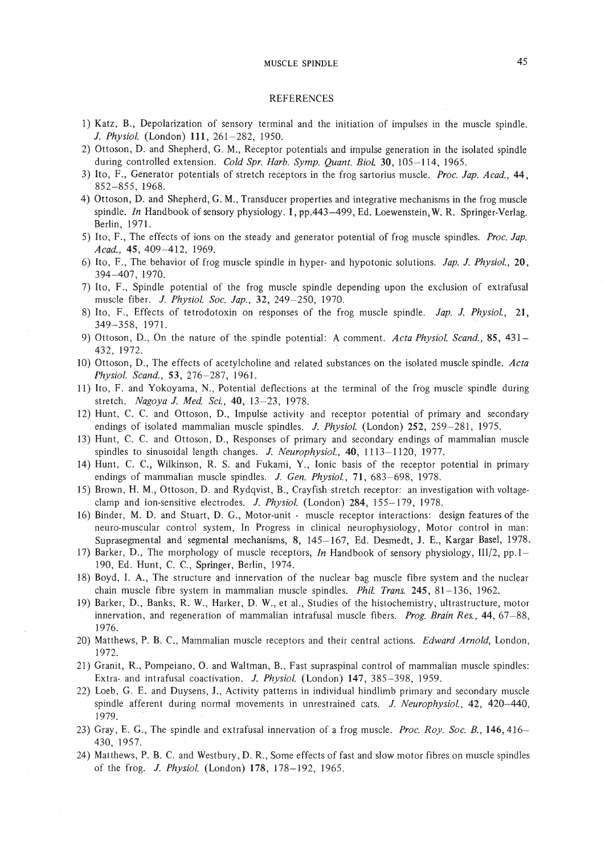#### MUSCLE SPINDLE

# REFERENCES

- I) Katz, B., Depolarization of sensory terminal and the initiation of impulses in the muscle spindle. *l. Physiol.* (London) **111,261-282,** 1950.
- 2) Ottoson, D. and Shepherd, G. M., Receptor potentials and impulse generation in the isolated spindle during controlled extension. *Cold Spr. Harb. Symp. Quant. BioI.* 30, 105-114, 1965.
- 3) Ito, F., Generator potentials of stretch receptors in the frog sartorius muscle. *Proc. lap. Acad., 44,* 852-855, 1968.
- 4) Ottoson, D. and Shepherd, G. M., Transducer properties and integrative mechanisms in the frog muscle spindle. *In* Handbook of sensory physiology. 1, pp.443-499, Ed. Loewenstein, W. R. Springer-Verlag. Berlin, 1971.
- 5) Ito, F., The effects of ions on the steady and generator potential of frog muscle spindles. *Proc. lap. Acad.,* 45,409-412, 1969.
- 6) Ito, F., The behavior of frog muscle spindle in hyper- and hypotonic solutions. *Jap. l. Physiol., 20,* 394-407, 1970.
- 7) Ito, F., Spindle potential of the frog muscle spindle depending upon the exclusion of extrafusaJ muscle fiber. *l. Physiol. Soc. lap.,* 32,249-250, 1970.
- 8) Ito, F., Effects of tetrodotoxin on responses of the frog muscle spindle. *lap. l. Physiol., 21,* 349-358, 1971.
- 9) Ottoson, D., On the nature of the spindle potential: A comment. *Acta Physiol. Seand.,* 85, 431- 432, 1972.
- 10) Ottoson, D., The effects of acetylcholine and related substances on the isolated muscle spindle. *Acta Physiol. Seand.,* 53,276-287, 1961.
- II) Ito, F. and Yokoyama, N., Potential deflections at the terminal of the frog muscle spindle during stretch. *Nagoya l. Med. Sci.,* 40, 13-23, 1978.
- 12) Hunt, C. C. and Ottoson, D., Impulse activity and receptor potential of primary and secondary endings of isolated mammalian muscle spindles. *J. Physiol.* (London) 252, 259-281, 1975.
- 13) Hunt, C. C. and Ottoson, D., Responses of primary and secondary endings of mammalian muscle spindles to sinusoidal length changes. *J. Neurophysiol.*, 40, 1113-1120, 1977.
- 14) Hunt, C. c., Wilkinson, R. S. and Fukami, Y., Ionic basis of the receptor potential in primary endings of mammalian muscle spindles. *l. Gen. Physiol.,* 71, 683-698, 1978.
- 15) Brown, H. M., Ottoson, D. and Rydqvist, B., Crayfish stretch receptor: an investigation with voltageclamp and ion-sensitive electrodes. *l. Physiol.* (London) 284, 155-179, 1978.
- 16) Binder, M. D. and Stuart, D. G., Motor-unit muscle receptor interactions: design features of the neuro-muscular control system, In Progress in clinical neurophysiology, Motor control in man: SuprasegmentaJ and segmental mechanisms, 8, 145-167, Ed. Desmedt, J. E., Kargar Basel, 1978.
- 17) Barker, D., The morphology of muscle receptors, *In* Handbook of sensory physiology, *III/2,* pp.l-190, Ed. Hunt, C. c., Springer, Berlin, 1974.
- 18) Boyd, I. A., The structure and innervation of the nuclear bag muscle fibre system and the nuclear chain muscle fibre system in mammalian muscle spindles. *Phil. Trans.* 245, 81-136, 1962.
- 19) Barker, D., Banks, R. W., Harker, D. W., et aI., Studies of the histochemistry, ultrastructure, motor innervation, and regeneration of mammalian intrafusal muscle fibers. *Prog. Brain Res.,* 44,67-88, 1976.
- 20) Matthews, P. B. C., Mammalian muscle receptors and their central actions. *Edward Arnold,* London, 1972.
- 21) Granit, R., Pompeiano, O. and Waltman, B., Fast supraspinal control of mammalian muscle spindles: Extra- and intrafusal coactivation. *l. Physiol.* (London) 147, 385-398, 1959.
- 22) Loeb, G. E. and Duysens, J., Activity patterns in individual hindlimb primary and secondary muscle spindle afferent during normal movements in unrestrained cats. *J. Neurophysiol.,* 42, 420-440, 1979.
- 23) Gray, E. G., The spindle and extrafusal innervation of a frog muscle. *Proc. Roy. Soc. B.,* 146,416- 430, 1957.
- 24) Matthews, P. B. C. and Westbury, D. R., Some effects of fast and slow motor fibres on muscle spindles of the frog. *J. Physiol.* (London) 178, 178-192, 1965.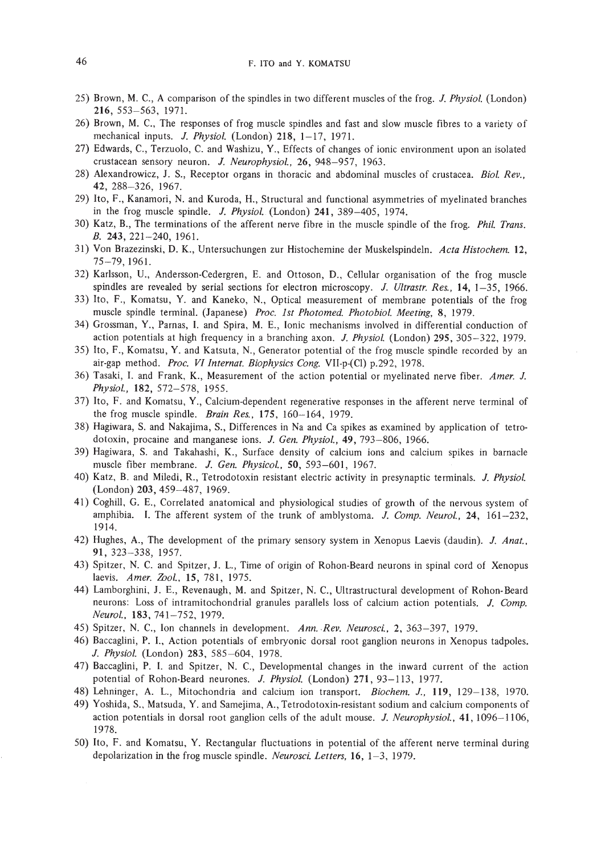- 25) Brown, M. C., A comparison of the spindles in two different muscles of the frog. J. *Physiol.* (London) 216, 553-563, 1971.
- 26) Brown, M. C., The responses of frog muscle spindles and fast and slow muscle fibres to a variety of mechanical inputs. J. *Physiol.* (London) 218, 1-17, 1971.
- 27) Edwards, C., Terzuolo, C. and Washizu, Y., Effects of changes of ionic environment upon an isolated crustacean sensory neuron. J. *Neurophysiol.,* 26, 948-957, 1963.
- 28) Alexandrowicz, J. S., Receptor organs in thoracic and abdominal muscles of crustacea. *Bioi. Rev.,* 42, 288-326, 1967.
- 29) Ito, F., Kanamori, N. and Kuroda, H., Structural and functional asymmetries of myelinated branches in the frog muscle spindle. J. *Physiol.* (London) 241, 389-405, 1974.
- 30) Katz, B., The terminations of the afferent nerve fibre in the muscle spindle of the frog. *Phil. Trans.* B. 243,221-240, 1961.
- 31) Von Brazezinski, D. K., Untersuchungen zur Histochemine der Muskelspindeln. *Acta Histochem. 12,* 75-79,1961.
- 32) Karlsson, U., Andersson-Cedergren, E. and Ottoson, D., Cellular organisation of the frog muscle spindles are revealed by serial sections for electron microscopy. J. *Ultrastr. Res.,* 14, 1-35, 1966.
- 33) Ito, F., Komatsu, Y. and Kaneko, N., Optical measurement of membrane potentials of the frog muscle spindle terminal. (Japanese) *Proc. 1st Photomed. Photobio1. Meeting,* 8, 1979.
- 34) Grossman, Y., Parnas, I. and Spira, M. E., Ionic mechanisms involved in differential conduction of action potentials at high frequency in a branching axon. J. *Physiol.* (London) 295, 305-322, 1979.
- 35) Ito, F., Komatsu, Y. and Katsuta, N., Generator potential of the frog muscle spindle recorded by an air-gap method. *Proc. VI Internat. Biophysics Cong.* VII-p-(Cl) p.292, 1978.
- 36) Tasaki, 1. and Frank, K., Measurement of the action potential or myelinated nerve fiber. *Amer.* J. *Physio1.* , 182, 572-578, 1955.
- 37) Ito, F. and Komatsu, Y., Calcium-dependent regenerative responses in the afferent nerve terminal of the frog muscle spindle. *Brain Res.,* 175, 160-164, 1979.
- 38) Hagiwara, S. and Nakajima, S., Differences in Na and Ca spikes as examined by application of tetrodotoxin, procaine and manganese ions. J. *Gen. Physiol.,* 49, 793-806, 1966.
- 39) Hagiwara, S. and Takahashi, K., Surface density of calcium ions and calcium spikes in barnacle muscle fiber membrane. J. *Gen. Physicol.,* SO, 593-601, 1967.
- 40) Katz, B. and Miledi, R., Tetrodotoxin resistant electric activity in presynaptic terminals. J. *Physiol.* (London) 203, 459-487, 1969.
- 41) Coghill, G. E., Correlated anatomical and physiological studies of growth of the nervous system of amphibia. I. The afferent system of the trunk of amblystoma. J. *Comp. Neurol.,* 24, 161-232, 1914.
- 42) Hughes, A., The development of the primary sensory system in Xenopus Laevis (daudin). J. *Anat.,* 91, 323-338, 1957.
- 43) Spitzer, N. C. and Spitzer, J. L., Time of origin of Rohon-Beard neurons in spinal cord of Xenopus laevis. *Amer. Zool.*, 15, 781, 1975.
- 44) Lamborghini, J. E., Revenaugh, M. and Spitzer, N. C., Ultrastructural development of Rohon-Beard neurons: Loss of intramitochondrial granules parallels loss of calcium action potentials. J. *Comp. Neurol.,* 183,741-752,1979.
- 45) Spitzer. N. C., Ion channels in development. *Ann..Rev. Neurosci.,* 2, 363-397, 1979.
- 46) Baccaglini, P. I., Action potentials of embryonic dorsal root ganglion neurons in Xenopus tadpoles. J. *Physiol.* (London) 283, 585-604, 1978.
- 47) Baccaglini, P. I. and Spitzer, N. C., Developmental changes in the inward current of the action potential of Rohon-Beard neurones. J. *Physiol.* (London) 271, 93-113, 1977.
- 48) Lehninger, A. L., Mitochondria and calcium ion transport. *Biochem. J.,* 119, 129-138, 1970.
- 49) Yoshida, S., Matsuda, Y. and Samejima, A., Tetrodotoxin-resistant sodium and calcium components of action potentials in dorsal root ganglion cells of the adult mouse. J. *Neurophysiol.,* 41,1096-1106, 1978.
- 50) Ito, F. and Komatsu, Y. Rectangular fluctuations in potential of the afferent nerve terminal during depolarization in the frog muscle spindle. *Neurosci. Letters,* 16, 1-3, 1979.